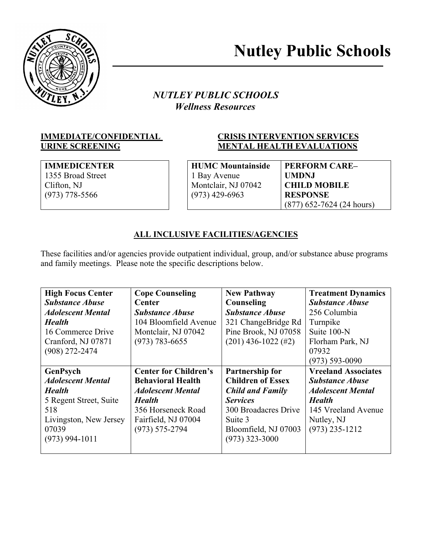

# *NUTLEY PUBLIC SCHOOLS* *Wellness Resources*

# **IMMEDIATE/CONFIDENTIAL CRISIS INTERVENTION SERVICES URINE SCREENING MENTAL HEALTH EVALUATIONS**

**IMMEDICENTER** 1355 Broad Street Clifton, NJ (973) 778-5566

**HUMC Mountainside** 1 Bay Avenue Montclair, NJ 07042 (973) 429-6963

**PERFORM CARE– UMDNJ CHILD MOBILE RESPONSE**  (877) 652-7624 (24 hours)

# **ALL INCLUSIVE FACILITIES/AGENCIES**

These facilities and/or agencies provide outpatient individual, group, and/or substance abuse programs and family meetings. Please note the specific descriptions below.

| <b>High Focus Center</b> | <b>Cope Counseling</b>       | <b>New Pathway</b>       | <b>Treatment Dynamics</b>  |
|--------------------------|------------------------------|--------------------------|----------------------------|
| <b>Substance Abuse</b>   | <b>Center</b>                | Counseling               | <b>Substance Abuse</b>     |
| <b>Adolescent Mental</b> | <b>Substance Abuse</b>       | <b>Substance Abuse</b>   | 256 Columbia               |
| <b>Health</b>            | 104 Bloomfield Avenue        | 321 ChangeBridge Rd      | Turnpike                   |
| 16 Commerce Drive        | Montclair, NJ 07042          | Pine Brook, NJ 07058     | Suite 100-N                |
| Cranford, NJ 07871       | $(973) 783 - 6655$           | $(201)$ 436-1022 (#2)    | Florham Park, NJ           |
| $(908)$ 272-2474         |                              |                          | 07932                      |
|                          |                              |                          | $(973) 593 - 0090$         |
| GenPsych                 | <b>Center for Children's</b> | <b>Partnership for</b>   | <b>Vreeland Associates</b> |
| <b>Adolescent Mental</b> | <b>Behavioral Health</b>     | <b>Children of Essex</b> | <b>Substance Abuse</b>     |
| <b>Health</b>            | <b>Adolescent Mental</b>     | <b>Child and Family</b>  | <b>Adolescent Mental</b>   |
| 5 Regent Street, Suite   | <b>Health</b>                | <b>Services</b>          | <b>Health</b>              |
| 518                      | 356 Horseneck Road           | 300 Broadacres Drive     | 145 Vreeland Avenue        |
| Livingston, New Jersey   | Fairfield, NJ 07004          | Suite 3                  | Nutley, NJ                 |
| 07039                    | $(973) 575 - 2794$           | Bloomfield, NJ 07003     | $(973)$ 235-1212           |
| $(973)$ 994-1011         |                              | $(973)$ 323-3000         |                            |
|                          |                              |                          |                            |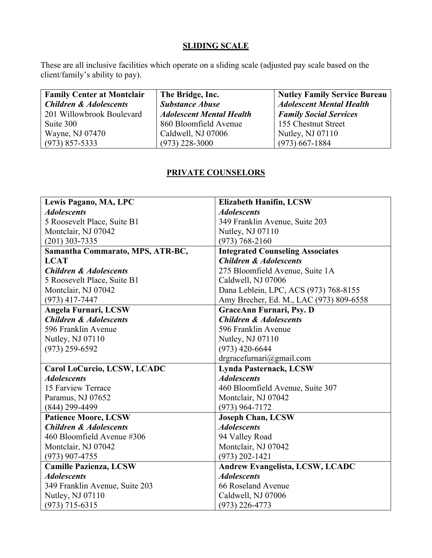# **SLIDING SCALE**

These are all inclusive facilities which operate on a sliding scale (adjusted pay scale based on the client/family's ability to pay).

| <b>Family Center at Montclair</b> | The Bridge, Inc.                | <b>Nutley Family Service Bureau</b> |
|-----------------------------------|---------------------------------|-------------------------------------|
| <b>Children &amp; Adolescents</b> | <b>Substance Abuse</b>          | <b>Adolescent Mental Health</b>     |
| 201 Willowbrook Boulevard         | <b>Adolescent Mental Health</b> | <b>Family Social Services</b>       |
| Suite 300                         | 860 Bloomfield Avenue           | 155 Chestnut Street                 |
| Wayne, NJ 07470                   | Caldwell, NJ 07006              | Nutley, NJ 07110                    |
| $(973)$ 857-5333                  | $(973)$ 228-3000                | $(973)$ 667-1884                    |

# **PRIVATE COUNSELORS**

| Lewis Pagano, MA, LPC             | <b>Elizabeth Hanifin, LCSW</b>          |
|-----------------------------------|-----------------------------------------|
| <b>Adolescents</b>                | <b>Adolescents</b>                      |
| 5 Roosevelt Place, Suite B1       | 349 Franklin Avenue, Suite 203          |
| Montclair, NJ 07042               | Nutley, NJ 07110                        |
| $(201)$ 303-7335                  | $(973) 768 - 2160$                      |
| Samantha Commarato, MPS, ATR-BC,  | <b>Integrated Counseling Associates</b> |
| <b>LCAT</b>                       | <b>Children &amp; Adolescents</b>       |
| <b>Children &amp; Adolescents</b> | 275 Bloomfield Avenue, Suite 1A         |
| 5 Roosevelt Place, Suite B1       | Caldwell, NJ 07006                      |
| Montclair, NJ 07042               | Dana Leblein, LPC, ACS (973) 768-8155   |
| $(973)$ 417-7447                  | Amy Brecher, Ed. M., LAC (973) 809-6558 |
| Angela Furnari, LCSW              | GraceAnn Furnari, Psy. D                |
| <b>Children &amp; Adolescents</b> | <b>Children &amp; Adolescents</b>       |
| 596 Franklin Avenue               | 596 Franklin Avenue                     |
| Nutley, NJ 07110                  | Nutley, NJ 07110                        |
| $(973)$ 259-6592                  | $(973)$ 420-6644                        |
|                                   | drgracefurnari@gmail.com                |
| Carol LoCurcio, LCSW, LCADC       | <b>Lynda Pasternack, LCSW</b>           |
| <b>Adolescents</b>                | <b>Adolescents</b>                      |
| 15 Farview Terrace                | 460 Bloomfield Avenue, Suite 307        |
| Paramus, NJ 07652                 | Montclair, NJ 07042                     |
| $(844)$ 299-4499                  | $(973)$ 964-7172                        |
| <b>Patience Moore, LCSW</b>       | <b>Joseph Chan, LCSW</b>                |
| <b>Children &amp; Adolescents</b> | <b>Adolescents</b>                      |
| 460 Bloomfield Avenue #306        | 94 Valley Road                          |
| Montclair, NJ 07042               | Montclair, NJ 07042                     |
| $(973)$ 907-4755                  | $(973)$ 202-1421                        |
| <b>Camille Pazienza, LCSW</b>     | Andrew Evangelista, LCSW, LCADC         |
| <b>Adolescents</b>                | <b>Adolescents</b>                      |
| 349 Franklin Avenue, Suite 203    | 66 Roseland Avenue                      |
| Nutley, NJ 07110                  | Caldwell, NJ 07006                      |
| $(973)$ 715-6315                  | $(973)$ 226-4773                        |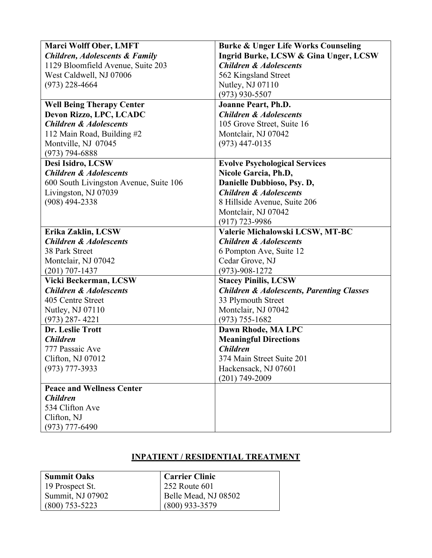| <b>Marci Wolff Ober, LMFT</b>             | <b>Burke &amp; Unger Life Works Counseling</b>       |
|-------------------------------------------|------------------------------------------------------|
| <b>Children, Adolescents &amp; Family</b> | <b>Ingrid Burke, LCSW &amp; Gina Unger, LCSW</b>     |
| 1129 Bloomfield Avenue, Suite 203         | <b>Children &amp; Adolescents</b>                    |
| West Caldwell, NJ 07006                   | 562 Kingsland Street                                 |
| $(973)$ 228-4664                          | Nutley, NJ 07110                                     |
|                                           | $(973)$ 930-5507                                     |
| <b>Well Being Therapy Center</b>          | <b>Joanne Peart, Ph.D.</b>                           |
| Devon Rizzo, LPC, LCADC                   | <b>Children &amp; Adolescents</b>                    |
| <b>Children &amp; Adolescents</b>         | 105 Grove Street, Suite 16                           |
| 112 Main Road, Building #2                | Montclair, NJ 07042                                  |
| Montville, NJ 07045                       | $(973)$ 447-0135                                     |
| $(973) 794 - 6888$                        |                                                      |
| Desi Isidro, LCSW                         | <b>Evolve Psychological Services</b>                 |
| <b>Children &amp; Adolescents</b>         | Nicole Garcia, Ph.D,                                 |
| 600 South Livingston Avenue, Suite 106    | Danielle Dubbioso, Psy. D,                           |
| Livingston, NJ 07039                      | <b>Children &amp; Adolescents</b>                    |
| $(908)$ 494-2338                          | 8 Hillside Avenue, Suite 206                         |
|                                           | Montclair, NJ 07042                                  |
|                                           | $(917)$ 723-9986                                     |
| Erika Zaklin, LCSW                        | Valerie Michalowski LCSW, MT-BC                      |
| <b>Children &amp; Adolescents</b>         | <b>Children &amp; Adolescents</b>                    |
| 38 Park Street                            | 6 Pompton Ave, Suite 12                              |
| Montclair, NJ 07042                       | Cedar Grove, NJ                                      |
| $(201) 707 - 1437$                        | $(973) - 908 - 1272$                                 |
| Vicki Beckerman, LCSW                     | <b>Stacey Pinilis, LCSW</b>                          |
| <b>Children &amp; Adolescents</b>         | <b>Children &amp; Adolescents, Parenting Classes</b> |
| 405 Centre Street                         | 33 Plymouth Street                                   |
| Nutley, NJ 07110                          | Montclair, NJ 07042                                  |
| $(973)$ 287-4221                          | $(973) 755 - 1682$                                   |
| Dr. Leslie Trott                          | Dawn Rhode, MA LPC                                   |
| <b>Children</b>                           | <b>Meaningful Directions</b>                         |
| 777 Passaic Ave                           | <b>Children</b>                                      |
| Clifton, NJ 07012                         | 374 Main Street Suite 201                            |
| $(973)$ 777-3933                          | Hackensack, NJ 07601                                 |
|                                           | $(201)$ 749-2009                                     |
| <b>Peace and Wellness Center</b>          |                                                      |
| <b>Children</b>                           |                                                      |
| 534 Clifton Ave                           |                                                      |
| Clifton, NJ                               |                                                      |
| $(973)$ 777-6490                          |                                                      |

# **INPATIENT / RESIDENTIAL TREATMENT**

| Summit Oaks      | <b>Carrier Clinic</b> |
|------------------|-----------------------|
| 19 Prospect St.  | 252 Route 601         |
| Summit, NJ 07902 | Belle Mead, NJ 08502  |
| $(800)$ 753-5223 | $(800)$ 933-3579      |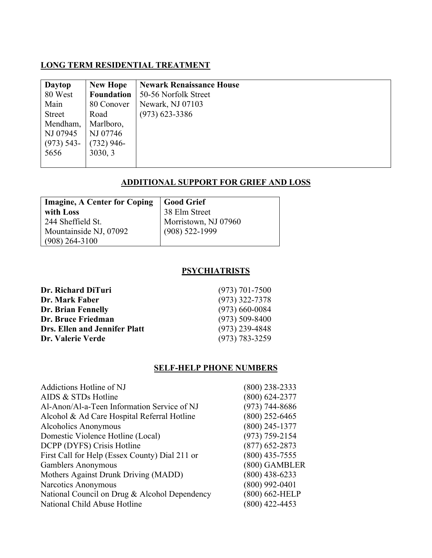# **LONG TERM RESIDENTIAL TREATMENT**

| <b>Daytop</b> | <b>New Hope</b>   | <b>Newark Renaissance House</b> |
|---------------|-------------------|---------------------------------|
| 80 West       | <b>Foundation</b> | 50-56 Norfolk Street            |
| Main          | 80 Conover        | Newark, NJ 07103                |
| Street        | Road              | $(973)$ 623-3386                |
| Mendham,      | Marlboro,         |                                 |
| NJ 07945      | NJ 07746          |                                 |
| $(973)$ 543-  | $(732)$ 946-      |                                 |
| 5656          | 3030, 3           |                                 |
|               |                   |                                 |

# **ADDITIONAL SUPPORT FOR GRIEF AND LOSS**

| <b>Imagine, A Center for Coping</b> | Good Grief           |  |
|-------------------------------------|----------------------|--|
| with Loss                           | 38 Elm Street        |  |
| 244 Sheffield St.                   | Morristown, NJ 07960 |  |
| Mountainside NJ, 07092              | $(908)$ 522-1999     |  |
| $(908)$ 264-3100                    |                      |  |

#### **PSYCHIATRISTS**

| Dr. Richard DiTuri            | $(973)$ 701-7500   |
|-------------------------------|--------------------|
| Dr. Mark Faber                | $(973)$ 322-7378   |
| Dr. Brian Fennelly            | $(973)$ 660-0084   |
| Dr. Bruce Friedman            | $(973)$ 509-8400   |
| Drs. Ellen and Jennifer Platt | $(973)$ 239-4848   |
| Dr. Valerie Verde             | $(973) 783 - 3259$ |

# **SELF-HELP PHONE NUMBERS**

| Addictions Hotline of NJ                       | $(800)$ 238-2333   |
|------------------------------------------------|--------------------|
| AIDS & STDs Hotline                            | $(800) 624 - 2377$ |
| Al-Anon/Al-a-Teen Information Service of NJ    | $(973) 744 - 8686$ |
| Alcohol & Ad Care Hospital Referral Hotline    | $(800)$ 252-6465   |
| Alcoholics Anonymous                           | $(800)$ 245-1377   |
| Domestic Violence Hotline (Local)              | $(973) 759 - 2154$ |
| DCPP (DYFS) Crisis Hotline                     | $(877)$ 652-2873   |
| First Call for Help (Essex County) Dial 211 or | $(800)$ 435-7555   |
| <b>Gamblers Anonymous</b>                      | (800) GAMBLER      |
| Mothers Against Drunk Driving (MADD)           | $(800)$ 438-6233   |
| Narcotics Anonymous                            | $(800)$ 992-0401   |
| National Council on Drug & Alcohol Dependency  | (800) 662-HELP     |
| National Child Abuse Hotline                   | $(800)$ 422-4453   |
|                                                |                    |